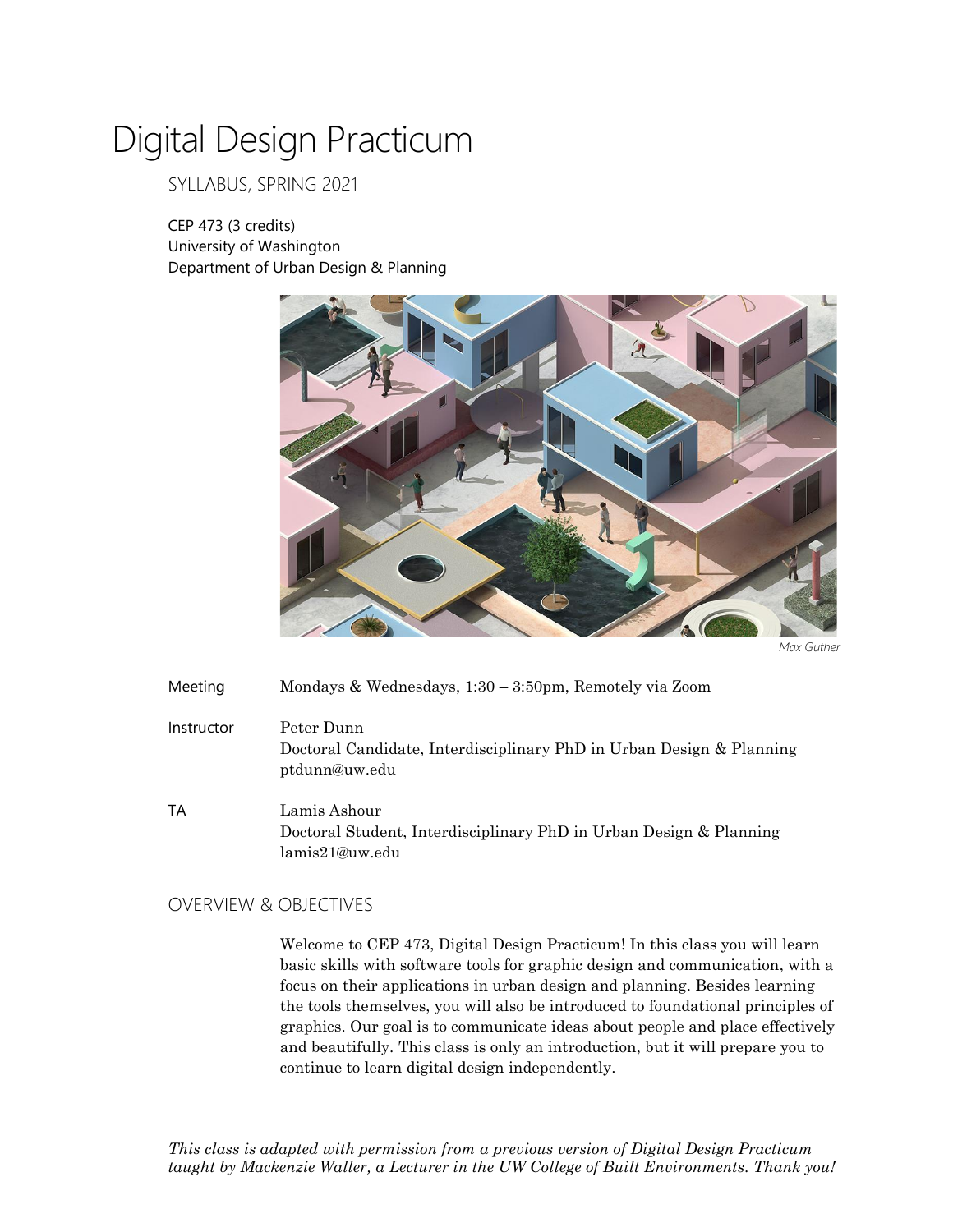# Digital Design Practicum

# SYLLABUS, SPRING 2021

CEP 473 (3 credits) University of Washington Department of Urban Design & Planning



*Max Guther*

Meeting Mondays & Wednesdays, 1:30 – 3:50pm, Remotely via Zoom

- Instructor Peter Dunn Doctoral Candidate, Interdisciplinary PhD in Urban Design & Planning ptdunn@uw.edu
- TA Lamis Ashour Doctoral Student, Interdisciplinary PhD in Urban Design & Planning lamis21@uw.edu

# OVERVIEW & OBJECTIVES

Welcome to CEP 473, Digital Design Practicum! In this class you will learn basic skills with software tools for graphic design and communication, with a focus on their applications in urban design and planning. Besides learning the tools themselves, you will also be introduced to foundational principles of graphics. Our goal is to communicate ideas about people and place effectively and beautifully. This class is only an introduction, but it will prepare you to continue to learn digital design independently.

*This class is adapted with permission from a previous version of Digital Design Practicum taught by Mackenzie Waller, a Lecturer in the UW College of Built Environments. Thank you!*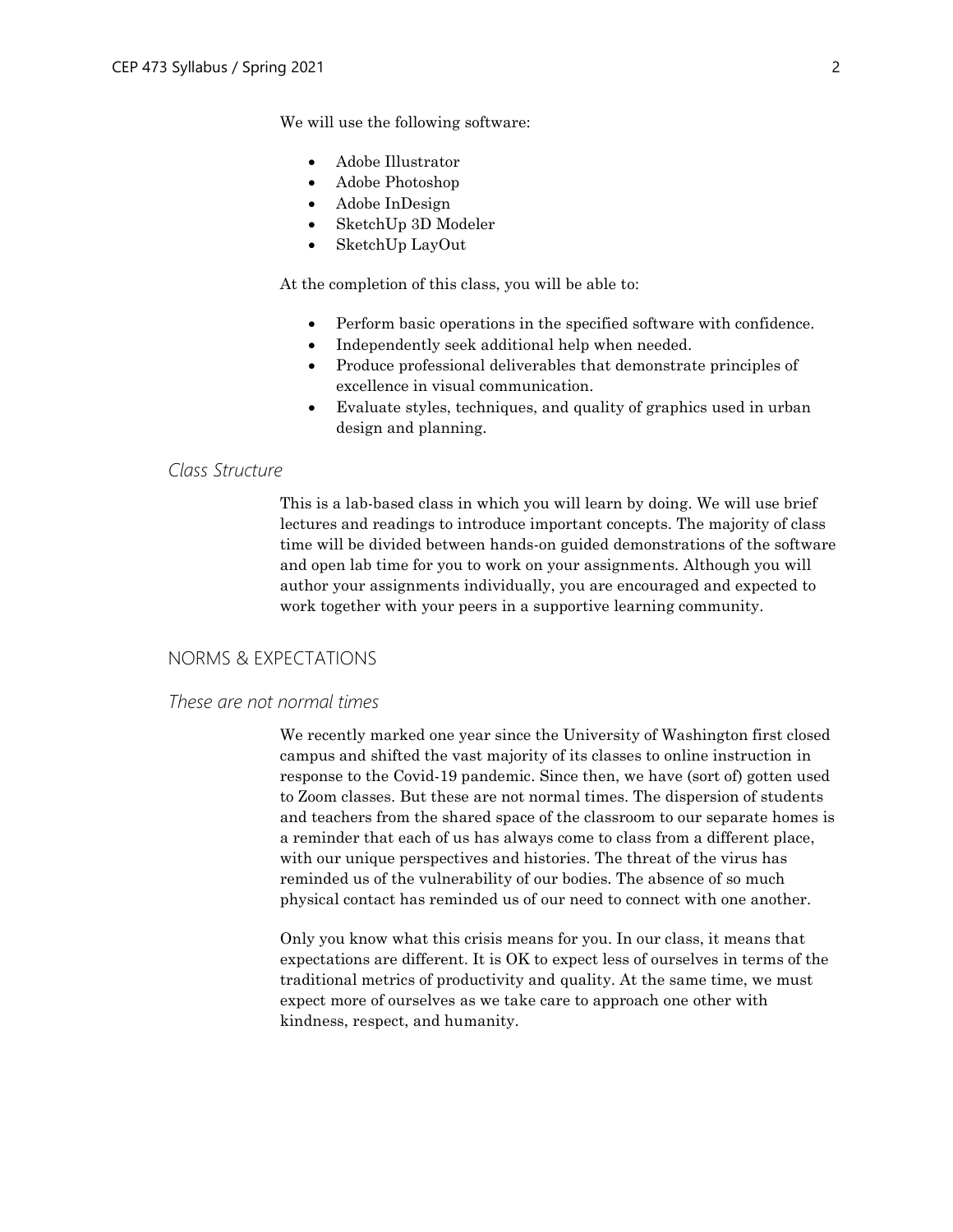We will use the following software:

- Adobe Illustrator
- Adobe Photoshop
- Adobe InDesign
- SketchUp 3D Modeler
- SketchUp LayOut

At the completion of this class, you will be able to:

- Perform basic operations in the specified software with confidence.
- Independently seek additional help when needed.
- Produce professional deliverables that demonstrate principles of excellence in visual communication.
- Evaluate styles, techniques, and quality of graphics used in urban design and planning.

# *Class Structure*

This is a lab-based class in which you will learn by doing. We will use brief lectures and readings to introduce important concepts. The majority of class time will be divided between hands-on guided demonstrations of the software and open lab time for you to work on your assignments. Although you will author your assignments individually, you are encouraged and expected to work together with your peers in a supportive learning community.

# NORMS & EXPECTATIONS

# *These are not normal times*

We recently marked one year since the University of Washington first closed campus and shifted the vast majority of its classes to online instruction in response to the Covid-19 pandemic. Since then, we have (sort of) gotten used to Zoom classes. But these are not normal times. The dispersion of students and teachers from the shared space of the classroom to our separate homes is a reminder that each of us has always come to class from a different place, with our unique perspectives and histories. The threat of the virus has reminded us of the vulnerability of our bodies. The absence of so much physical contact has reminded us of our need to connect with one another.

Only you know what this crisis means for you. In our class, it means that expectations are different. It is OK to expect less of ourselves in terms of the traditional metrics of productivity and quality. At the same time, we must expect more of ourselves as we take care to approach one other with kindness, respect, and humanity.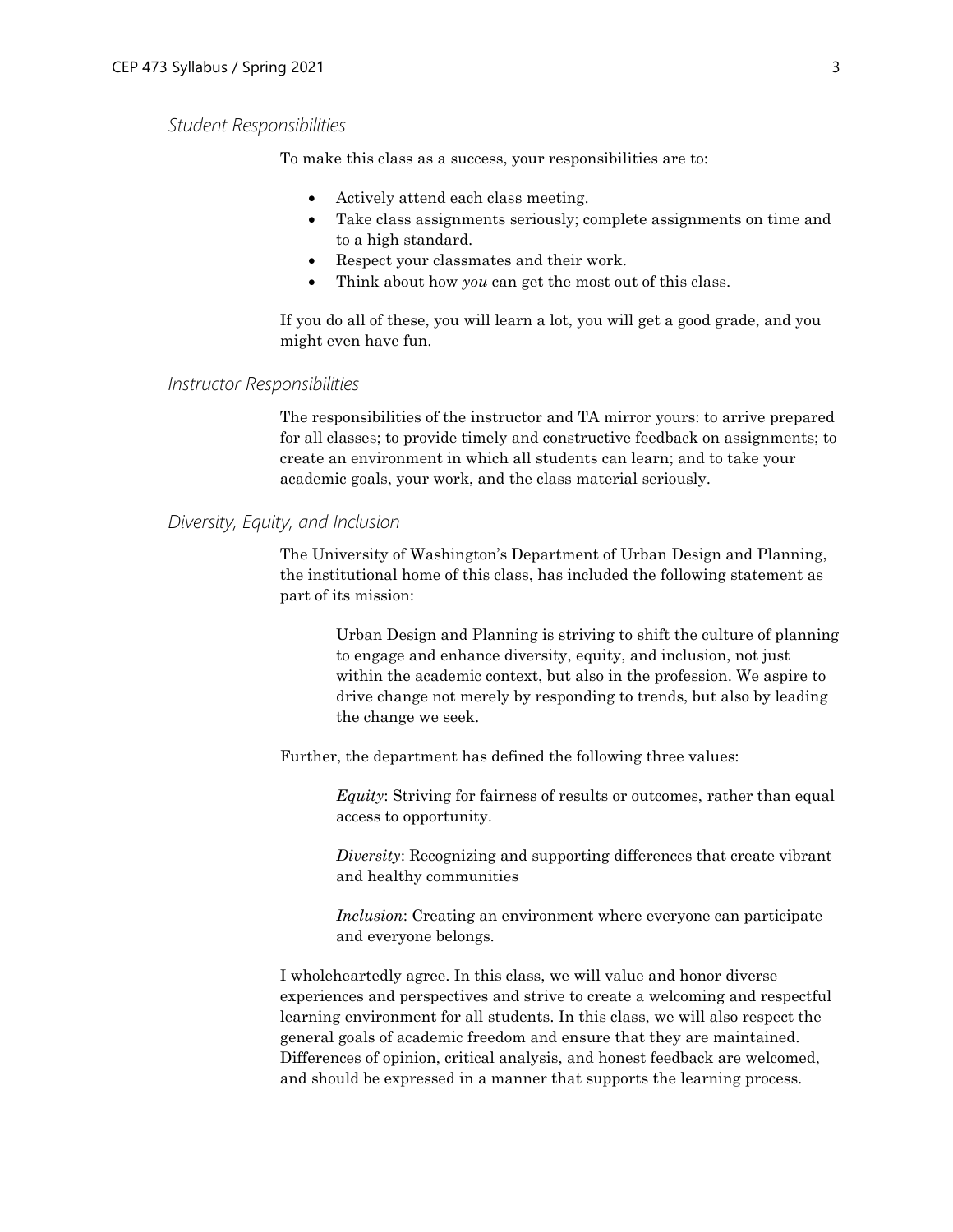# *Student Responsibilities*

To make this class as a success, your responsibilities are to:

- Actively attend each class meeting.
- Take class assignments seriously; complete assignments on time and to a high standard.
- Respect your classmates and their work.
- Think about how *you* can get the most out of this class.

If you do all of these, you will learn a lot, you will get a good grade, and you might even have fun.

## *Instructor Responsibilities*

The responsibilities of the instructor and TA mirror yours: to arrive prepared for all classes; to provide timely and constructive feedback on assignments; to create an environment in which all students can learn; and to take your academic goals, your work, and the class material seriously.

# *Diversity, Equity, and Inclusion*

The University of Washington's Department of Urban Design and Planning, the institutional home of this class, has included the following statement as part of its mission:

> Urban Design and Planning is striving to shift the culture of planning to engage and enhance diversity, equity, and inclusion, not just within the academic context, but also in the profession. We aspire to drive change not merely by responding to trends, but also by leading the change we seek.

Further, the department has defined the following three values:

*Equity*: Striving for fairness of results or outcomes, rather than equal access to opportunity.

*Diversity*: Recognizing and supporting differences that create vibrant and healthy communities

*Inclusion*: Creating an environment where everyone can participate and everyone belongs.

I wholeheartedly agree. In this class, we will value and honor diverse experiences and perspectives and strive to create a welcoming and respectful learning environment for all students. In this class, we will also respect the general goals of academic freedom and ensure that they are maintained. Differences of opinion, critical analysis, and honest feedback are welcomed, and should be expressed in a manner that supports the learning process.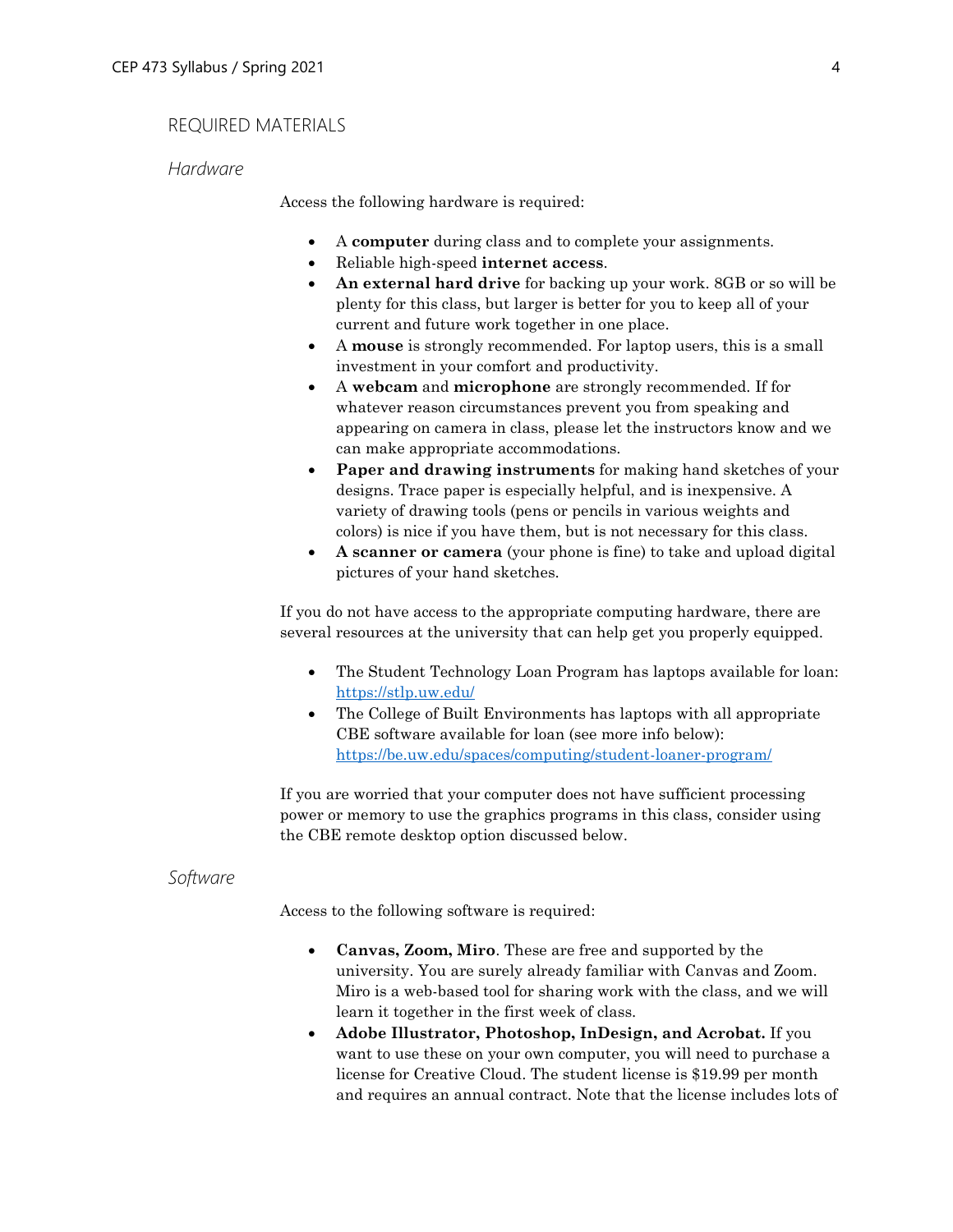# REQUIRED MATERIALS

## *Hardware*

Access the following hardware is required:

- A **computer** during class and to complete your assignments.
- Reliable high-speed **internet access**.
- **An external hard drive** for backing up your work. 8GB or so will be plenty for this class, but larger is better for you to keep all of your current and future work together in one place.
- A **mouse** is strongly recommended. For laptop users, this is a small investment in your comfort and productivity.
- A **webcam** and **microphone** are strongly recommended. If for whatever reason circumstances prevent you from speaking and appearing on camera in class, please let the instructors know and we can make appropriate accommodations.
- **Paper and drawing instruments** for making hand sketches of your designs. Trace paper is especially helpful, and is inexpensive. A variety of drawing tools (pens or pencils in various weights and colors) is nice if you have them, but is not necessary for this class.
- **A scanner or camera** (your phone is fine) to take and upload digital pictures of your hand sketches.

If you do not have access to the appropriate computing hardware, there are several resources at the university that can help get you properly equipped.

- The Student Technology Loan Program has laptops available for loan: <https://stlp.uw.edu/>
- The College of Built Environments has laptops with all appropriate CBE software available for loan (see more info below): <https://be.uw.edu/spaces/computing/student-loaner-program/>

If you are worried that your computer does not have sufficient processing power or memory to use the graphics programs in this class, consider using the CBE remote desktop option discussed below.

# *Software*

Access to the following software is required:

- **Canvas, Zoom, Miro**. These are free and supported by the university. You are surely already familiar with Canvas and Zoom. Miro is a web-based tool for sharing work with the class, and we will learn it together in the first week of class.
- **Adobe Illustrator, Photoshop, InDesign, and Acrobat.** If you want to use these on your own computer, you will need to purchase a license for Creative Cloud. The student license is \$19.99 per month and requires an annual contract. Note that the license includes lots of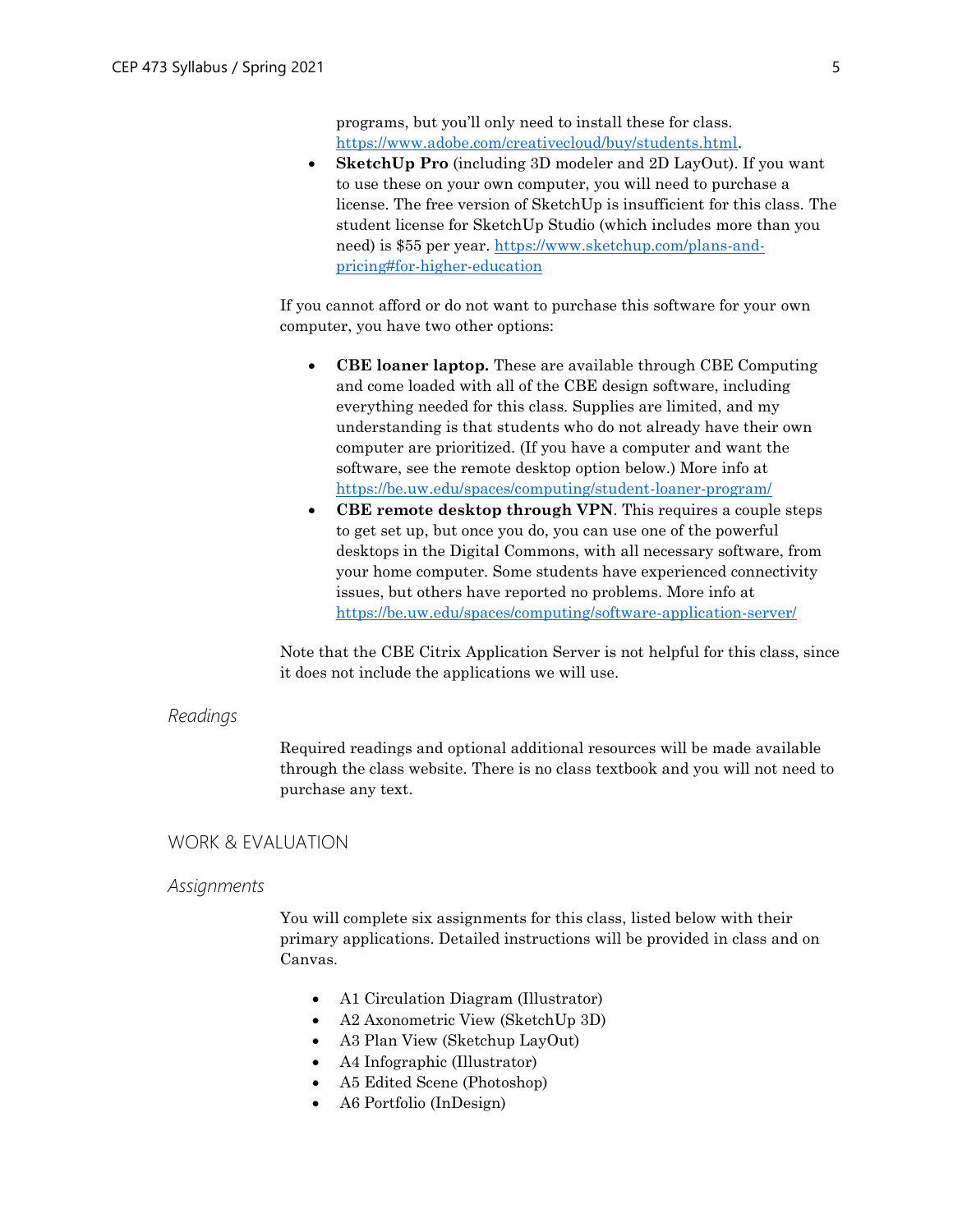programs, but you'll only need to install these for class. [https://www.adobe.com/creativecloud/buy/students.html.](https://www.adobe.com/creativecloud/buy/students.html)

• **SketchUp Pro** (including 3D modeler and 2D LayOut). If you want to use these on your own computer, you will need to purchase a license. The free version of SketchUp is insufficient for this class. The student license for SketchUp Studio (which includes more than you need) is \$55 per year. [https://www.sketchup.com/plans-and](https://www.sketchup.com/plans-and-pricing#for-higher-education)[pricing#for-higher-education](https://www.sketchup.com/plans-and-pricing#for-higher-education)

If you cannot afford or do not want to purchase this software for your own computer, you have two other options:

- **CBE loaner laptop.** These are available through CBE Computing and come loaded with all of the CBE design software, including everything needed for this class. Supplies are limited, and my understanding is that students who do not already have their own computer are prioritized. (If you have a computer and want the software, see the remote desktop option below.) More info at <https://be.uw.edu/spaces/computing/student-loaner-program/>
- **CBE remote desktop through VPN**. This requires a couple steps to get set up, but once you do, you can use one of the powerful desktops in the Digital Commons, with all necessary software, from your home computer. Some students have experienced connectivity issues, but others have reported no problems. More info at <https://be.uw.edu/spaces/computing/software-application-server/>

Note that the CBE Citrix Application Server is not helpful for this class, since it does not include the applications we will use.

#### *Readings*

Required readings and optional additional resources will be made available through the class website. There is no class textbook and you will not need to purchase any text.

### WORK & EVALUATION

#### *Assignments*

You will complete six assignments for this class, listed below with their primary applications. Detailed instructions will be provided in class and on Canvas.

- A1 Circulation Diagram (Illustrator)
- A2 Axonometric View (SketchUp 3D)
- A3 Plan View (Sketchup LayOut)
- A4 Infographic (Illustrator)
- A5 Edited Scene (Photoshop)
- A6 Portfolio (InDesign)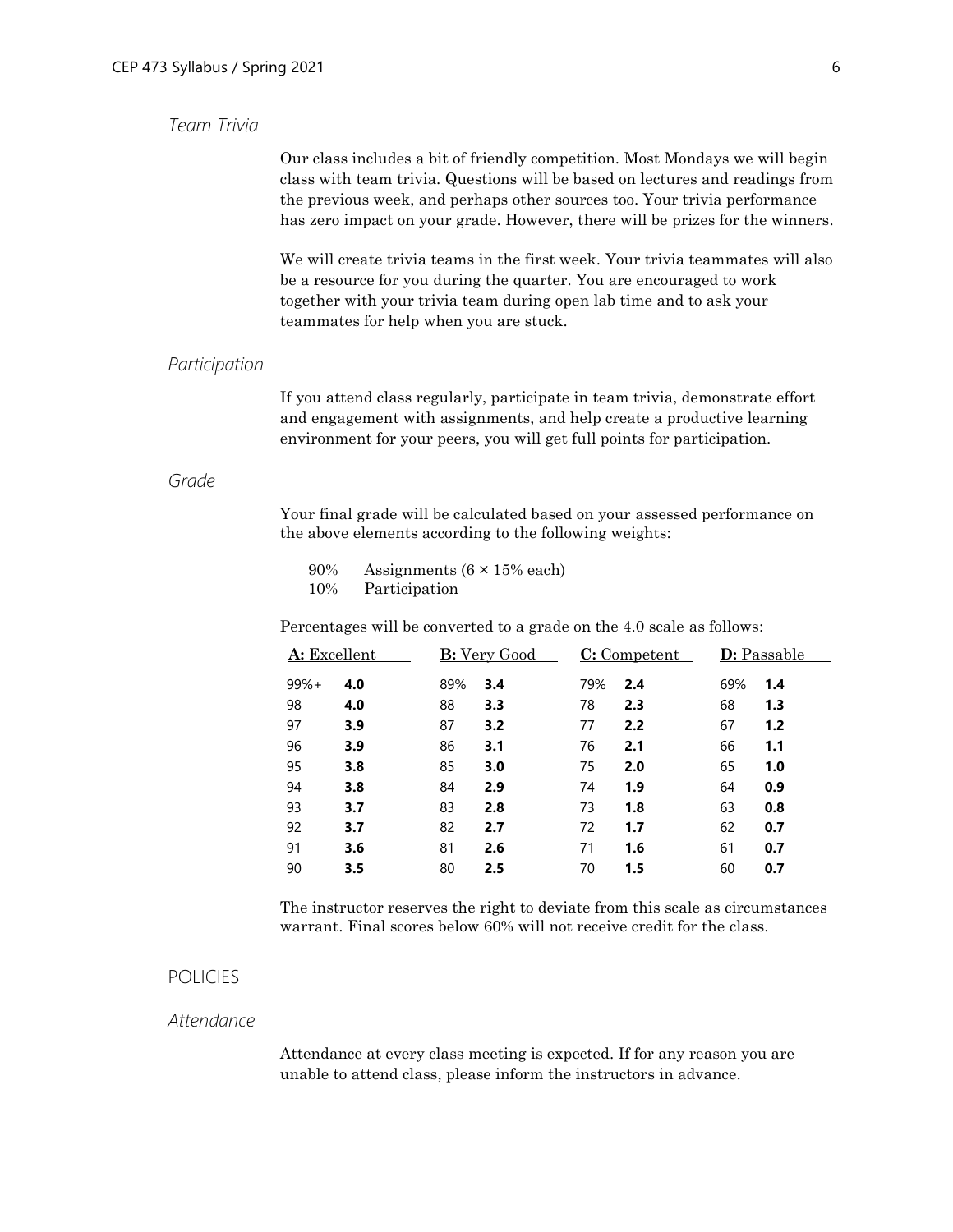# *Team Trivia*

Our class includes a bit of friendly competition. Most Mondays we will begin class with team trivia. Questions will be based on lectures and readings from the previous week, and perhaps other sources too. Your trivia performance has zero impact on your grade. However, there will be prizes for the winners.

We will create trivia teams in the first week. Your trivia teammates will also be a resource for you during the quarter. You are encouraged to work together with your trivia team during open lab time and to ask your teammates for help when you are stuck.

#### *Participation*

If you attend class regularly, participate in team trivia, demonstrate effort and engagement with assignments, and help create a productive learning environment for your peers, you will get full points for participation.

# *Grade*

Your final grade will be calculated based on your assessed performance on the above elements according to the following weights:

90% Assignments (6 × 15% each) 10% Participation

Percentages will be converted to a grade on the 4.0 scale as follows:

| A: Excellent |     | <b>B:</b> Very Good |     | $C:$ Competent |     | <b>D</b> : Passable |     |
|--------------|-----|---------------------|-----|----------------|-----|---------------------|-----|
| $99%+$       | 4.0 | 89%                 | 3.4 | 79%            | 2.4 | 69%                 | 1.4 |
| 98           | 4.0 | 88                  | 3.3 | 78             | 2.3 | 68                  | 1.3 |
| 97           | 3.9 | 87                  | 3.2 | 77             | 2.2 | 67                  | 1.2 |
| 96           | 3.9 | 86                  | 3.1 | 76             | 2.1 | 66                  | 1.1 |
| 95           | 3.8 | 85                  | 3.0 | 75             | 2.0 | 65                  | 1.0 |
| 94           | 3.8 | 84                  | 2.9 | 74             | 1.9 | 64                  | 0.9 |
| 93           | 3.7 | 83                  | 2.8 | 73             | 1.8 | 63                  | 0.8 |
| 92           | 3.7 | 82                  | 2.7 | 72             | 1.7 | 62                  | 0.7 |
| 91           | 3.6 | 81                  | 2.6 | 71             | 1.6 | 61                  | 0.7 |
| 90           | 3.5 | 80                  | 2.5 | 70             | 1.5 | 60                  | 0.7 |
|              |     |                     |     |                |     |                     |     |

The instructor reserves the right to deviate from this scale as circumstances warrant. Final scores below 60% will not receive credit for the class.

# POLICIES

# *Attendance*

Attendance at every class meeting is expected. If for any reason you are unable to attend class, please inform the instructors in advance.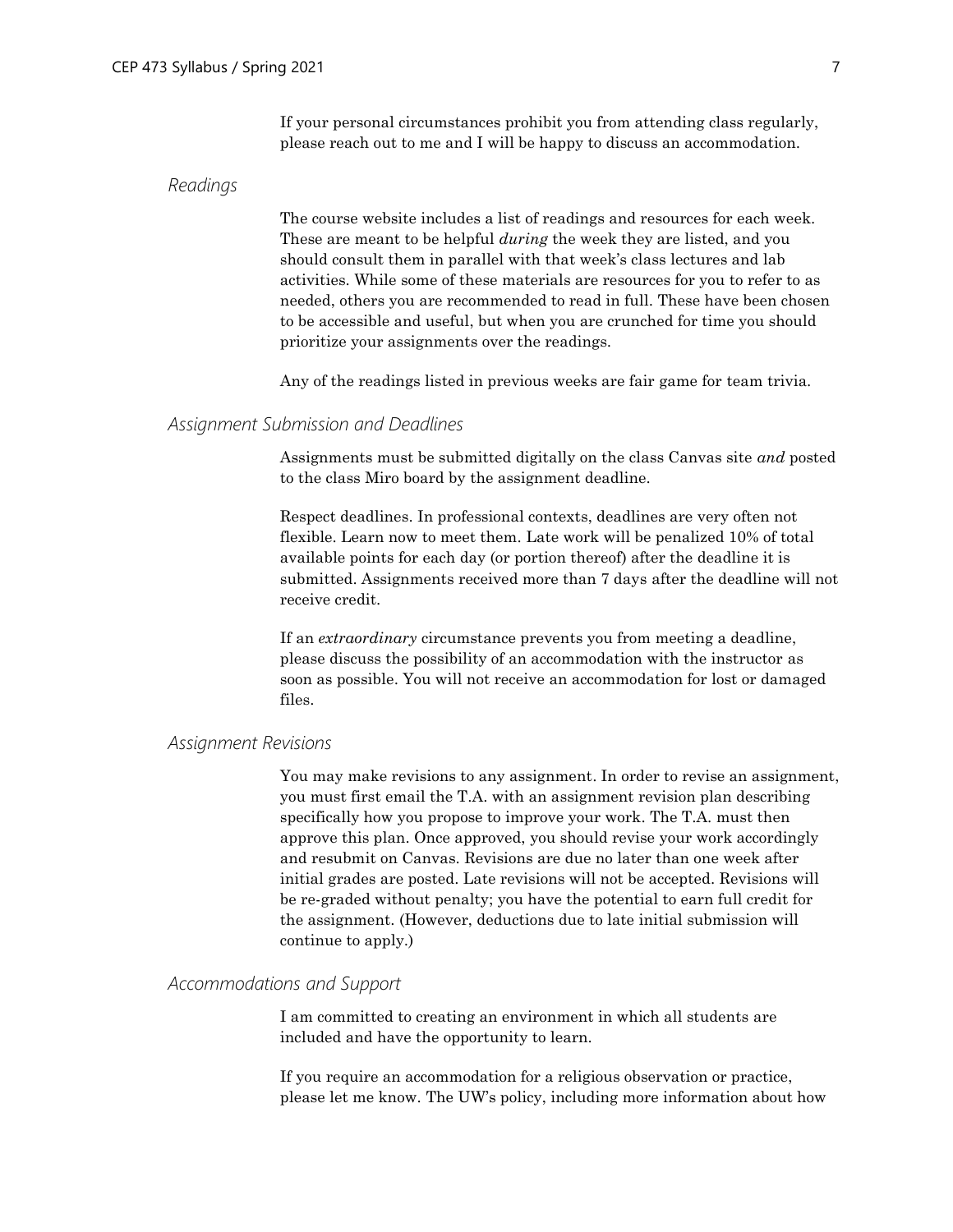If your personal circumstances prohibit you from attending class regularly, please reach out to me and I will be happy to discuss an accommodation.

#### *Readings*

The course website includes a list of readings and resources for each week. These are meant to be helpful *during* the week they are listed, and you should consult them in parallel with that week's class lectures and lab activities. While some of these materials are resources for you to refer to as needed, others you are recommended to read in full. These have been chosen to be accessible and useful, but when you are crunched for time you should prioritize your assignments over the readings.

Any of the readings listed in previous weeks are fair game for team trivia.

# *Assignment Submission and Deadlines*

Assignments must be submitted digitally on the class Canvas site *and* posted to the class Miro board by the assignment deadline.

Respect deadlines. In professional contexts, deadlines are very often not flexible. Learn now to meet them. Late work will be penalized 10% of total available points for each day (or portion thereof) after the deadline it is submitted. Assignments received more than 7 days after the deadline will not receive credit.

If an *extraordinary* circumstance prevents you from meeting a deadline, please discuss the possibility of an accommodation with the instructor as soon as possible. You will not receive an accommodation for lost or damaged files.

# *Assignment Revisions*

You may make revisions to any assignment. In order to revise an assignment, you must first email the T.A. with an assignment revision plan describing specifically how you propose to improve your work. The T.A. must then approve this plan. Once approved, you should revise your work accordingly and resubmit on Canvas. Revisions are due no later than one week after initial grades are posted. Late revisions will not be accepted. Revisions will be re-graded without penalty; you have the potential to earn full credit for the assignment. (However, deductions due to late initial submission will continue to apply.)

# *Accommodations and Support*

I am committed to creating an environment in which all students are included and have the opportunity to learn.

If you require an accommodation for a religious observation or practice, please let me know. The UW's policy, including more information about how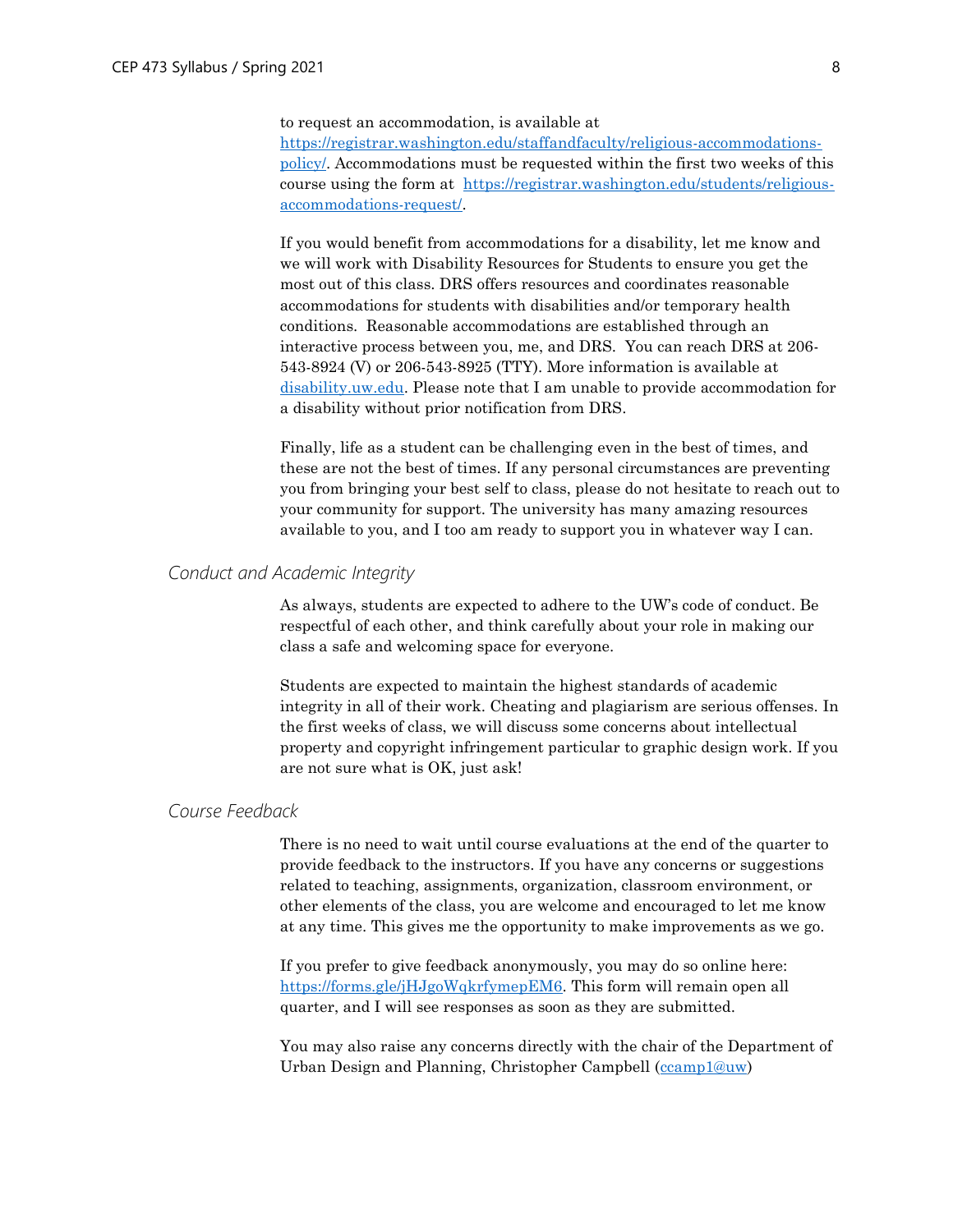to request an accommodation, is available at

[https://registrar.washington.edu/staffandfaculty/religious-accommodations](https://registrar.washington.edu/staffandfaculty/religious-accommodations-policy/)[policy/.](https://registrar.washington.edu/staffandfaculty/religious-accommodations-policy/) Accommodations must be requested within the first two weeks of this course using the form at [https://registrar.washington.edu/students/religious](https://registrar.washington.edu/students/religious-accommodations-request/)[accommodations-request/.](https://registrar.washington.edu/students/religious-accommodations-request/)

If you would benefit from accommodations for a disability, let me know and we will work with Disability Resources for Students to ensure you get the most out of this class. DRS offers resources and coordinates reasonable accommodations for students with disabilities and/or temporary health conditions. Reasonable accommodations are established through an interactive process between you, me, and DRS. You can reach DRS at 206- 543-8924 (V) or 206-543-8925 (TTY). More information is available at [disability.uw.edu.](file:///E:/203_EpidemicsCities/disability.uw.edu) Please note that I am unable to provide accommodation for a disability without prior notification from DRS.

Finally, life as a student can be challenging even in the best of times, and these are not the best of times. If any personal circumstances are preventing you from bringing your best self to class, please do not hesitate to reach out to your community for support. The university has many amazing resources available to you, and I too am ready to support you in whatever way I can.

# *Conduct and Academic Integrity*

As always, students are expected to adhere to the UW's code of conduct. Be respectful of each other, and think carefully about your role in making our class a safe and welcoming space for everyone.

Students are expected to maintain the highest standards of academic integrity in all of their work. Cheating and plagiarism are serious offenses. In the first weeks of class, we will discuss some concerns about intellectual property and copyright infringement particular to graphic design work. If you are not sure what is OK, just ask!

## *Course Feedback*

There is no need to wait until course evaluations at the end of the quarter to provide feedback to the instructors. If you have any concerns or suggestions related to teaching, assignments, organization, classroom environment, or other elements of the class, you are welcome and encouraged to let me know at any time. This gives me the opportunity to make improvements as we go.

If you prefer to give feedback anonymously, you may do so online here: [https://forms.gle/jHJgoWqkrfymepEM6.](https://forms.gle/jHJgoWqkrfymepEM6) This form will remain open all quarter, and I will see responses as soon as they are submitted.

You may also raise any concerns directly with the chair of the Department of Urban Design and Planning, Christopher Campbell [\(ccamp1@uw\)](mailto:ccamp1@uw)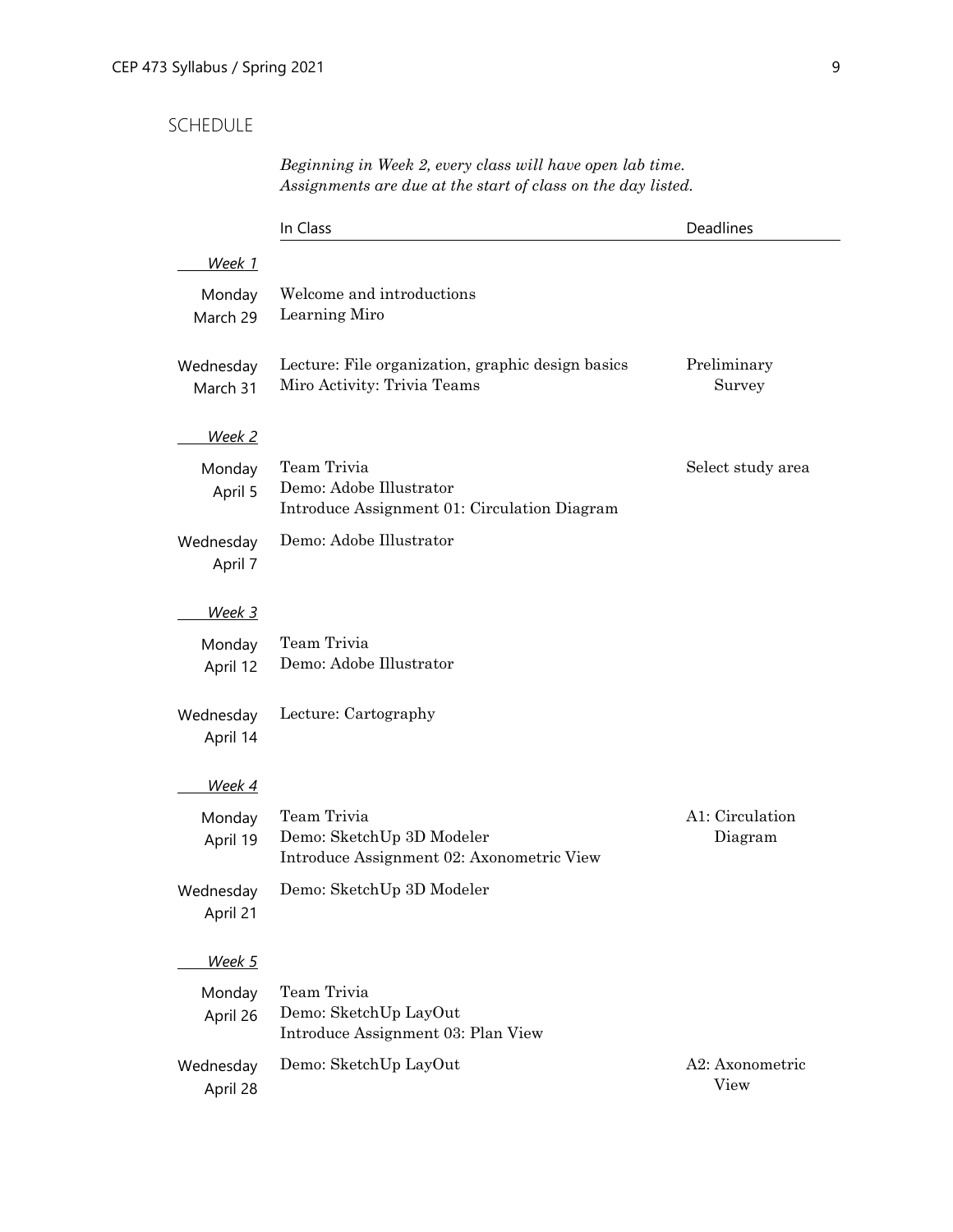# SCHEDULE

# *Beginning in Week 2, every class will have open lab time. Assignments are due at the start of class on the day listed.*

|                       | In Class                                                                               | Deadlines                  |
|-----------------------|----------------------------------------------------------------------------------------|----------------------------|
| Week 1                |                                                                                        |                            |
| Monday<br>March 29    | Welcome and introductions<br>Learning Miro                                             |                            |
| Wednesday<br>March 31 | Lecture: File organization, graphic design basics<br>Miro Activity: Trivia Teams       | Preliminary<br>Survey      |
| <u>Week 2</u>         |                                                                                        |                            |
| Monday<br>April 5     | Team Trivia<br>Demo: Adobe Illustrator<br>Introduce Assignment 01: Circulation Diagram | Select study area          |
| Wednesday<br>April 7  | Demo: Adobe Illustrator                                                                |                            |
| <u>Week 3</u>         |                                                                                        |                            |
| Monday<br>April 12    | Team Trivia<br>Demo: Adobe Illustrator                                                 |                            |
| Wednesday<br>April 14 | Lecture: Cartography                                                                   |                            |
| Week 4                |                                                                                        |                            |
| Monday<br>April 19    | Team Trivia<br>Demo: SketchUp 3D Modeler<br>Introduce Assignment 02: Axonometric View  | A1: Circulation<br>Diagram |
| Wednesday<br>April 21 | Demo: SketchUp 3D Modeler                                                              |                            |
| Week 5                |                                                                                        |                            |
| Monday<br>April 26    | Team Trivia<br>Demo: SketchUp LayOut<br>Introduce Assignment 03: Plan View             |                            |
| Wednesday<br>April 28 | Demo: SketchUp LayOut                                                                  | A2: Axonometric<br>View    |